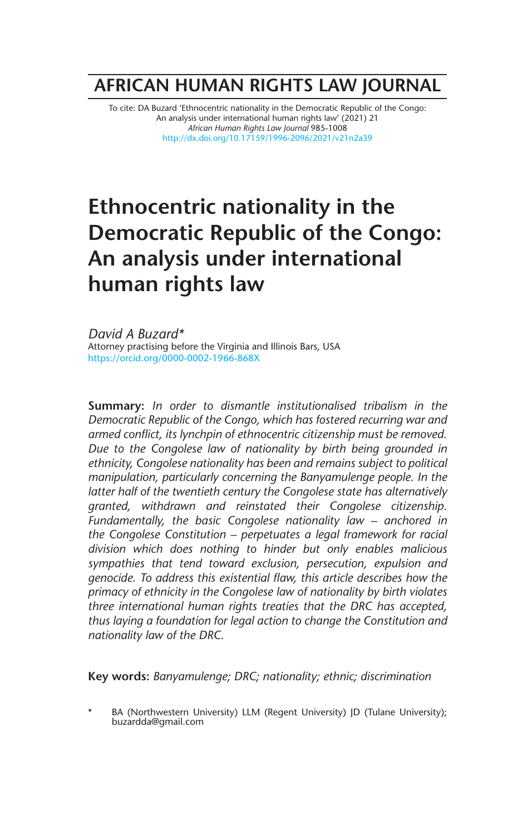## **AFRICAN HUMAN RIGHTS LAW JOURNAL**

To cite: DA Buzard 'Ethnocentric nationality in the Democratic Republic of the Congo: An analysis under international human rights law' (2021) 21 *African Human Rights Law Journal* 985-1008 http://dx.doi.org/10.17159/1996-2096/2021/v21n2a39

# **Ethnocentric nationality in the Democratic Republic of the Congo: An analysis under international human rights law**

*David A Buzard\** Attorney practising before the Virginia and Illinois Bars, USA https://orcid.org/0000-0002-1966-868X

**Summary:** *In order to dismantle institutionalised tribalism in the Democratic Republic of the Congo, which has fostered recurring war and armed conflict, its lynchpin of ethnocentric citizenship must be removed. Due to the Congolese law of nationality by birth being grounded in ethnicity, Congolese nationality has been and remains subject to political manipulation, particularly concerning the Banyamulenge people. In the latter half of the twentieth century the Congolese state has alternatively granted, withdrawn and reinstated their Congolese citizenship. Fundamentally, the basic Congolese nationality law – anchored in the Congolese Constitution – perpetuates a legal framework for racial division which does nothing to hinder but only enables malicious sympathies that tend toward exclusion, persecution, expulsion and genocide. To address this existential flaw, this article describes how the primacy of ethnicity in the Congolese law of nationality by birth violates three international human rights treaties that the DRC has accepted, thus laying a foundation for legal action to change the Constitution and nationality law of the DRC.*

**Key words:** *Banyamulenge; DRC; nationality; ethnic; discrimination*

BA (Northwestern University) LLM (Regent University) JD (Tulane University); buzardda@gmail.com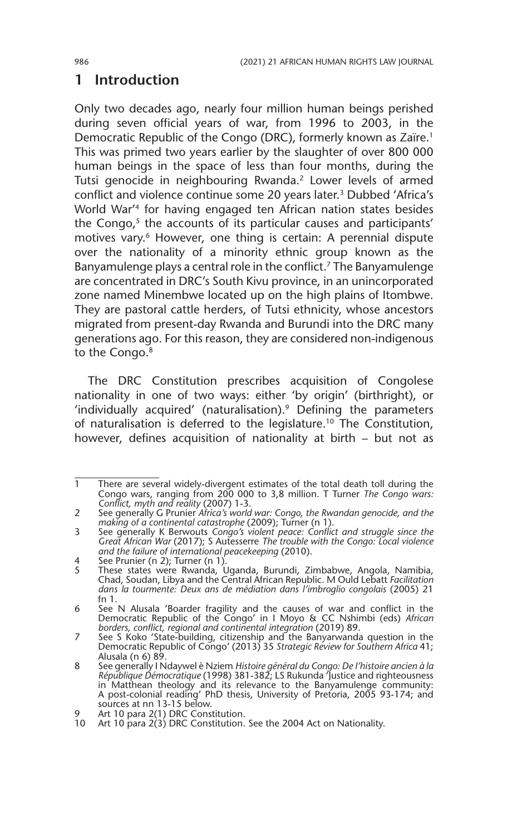## **1 Introduction**

Only two decades ago, nearly four million human beings perished during seven official years of war, from 1996 to 2003, in the Democratic Republic of the Congo (DRC), formerly known as Zaïre.<sup>1</sup> This was primed two years earlier by the slaughter of over 800 000 human beings in the space of less than four months, during the Tutsi genocide in neighbouring Rwanda.2 Lower levels of armed conflict and violence continue some 20 years later.<sup>3</sup> Dubbed 'Africa's World War'4 for having engaged ten African nation states besides the Congo,<sup>5</sup> the accounts of its particular causes and participants' motives vary.<sup>6</sup> However, one thing is certain: A perennial dispute over the nationality of a minority ethnic group known as the Banyamulenge plays a central role in the conflict.<sup>7</sup> The Banyamulenge are concentrated in DRC's South Kivu province, in an unincorporated zone named Minembwe located up on the high plains of Itombwe. They are pastoral cattle herders, of Tutsi ethnicity, whose ancestors migrated from present-day Rwanda and Burundi into the DRC many generations ago. For this reason, they are considered non-indigenous to the Congo.<sup>8</sup>

The DRC Constitution prescribes acquisition of Congolese nationality in one of two ways: either 'by origin' (birthright), or 'individually acquired' (naturalisation).<sup>9</sup> Defining the parameters of naturalisation is deferred to the legislature.<sup>10</sup> The Constitution, however, defines acquisition of nationality at birth – but not as

<sup>1</sup> There are several widely-divergent estimates of the total death toll during the Congo wars, ranging from 200 000 to 3,8 million. T Turner *The Congo wars: Conflict, myth and reality* (2007) 1-3.

<sup>2</sup> See generally G Prunier *Africa's world war: Congo, the Rwandan genocide, and the making of a continental catastrophe* (2009); Turner (n 1).

<sup>3</sup> See generally K Berwouts *Congo's violent peace: Conflict and struggle since the Great African War* (2017); S Autesserre *The trouble with the Congo: Local violence and the failure of international peacekeeping* (2010).

<sup>4</sup> See Prunier (n 2); Turner (n 1).

<sup>5</sup> These states were Rwanda, Uganda, Burundi, Zimbabwe, Angola, Namibia, Chad, Soudan, Libya and the Central African Republic. M Ould Lebatt *Facilitation dans la tourmente: Deux ans de médiation dans l'imbroglio congolais* (2005) 21 fn 1.

<sup>6</sup> See N Alusala 'Boarder fragility and the causes of war and conflict in the Democratic Republic of the Congo' in I Moyo & CC Nshimbi (eds) *African borders, conflict, regional and continental integration* (2019) 89.

<sup>7</sup> See S Koko 'State-building, citizenship and the Banyarwanda question in the Democratic Republic of Congo' (2013) 35 *Strategic Review for Southern Africa* 41; Alusala (n 6) 89.

<sup>8</sup> See generally I Ndaywel è Nziem *Histoire général du Congo: De l'histoire ancien à la République Démocratique* (1998) 381-382; LS Rukunda 'Justice and righteousness<br>in Matthean theology and its relevance to the Banyamulenge community:<br>A post-colonial reading' PhD thesis, University of Pretoria, 2005 93-174 sources at nn 13-15 below.

<sup>9</sup> Art 10 para 2(1) DRC Constitution.

<sup>10</sup> Art 10 para 2(3) DRC Constitution. See the 2004 Act on Nationality.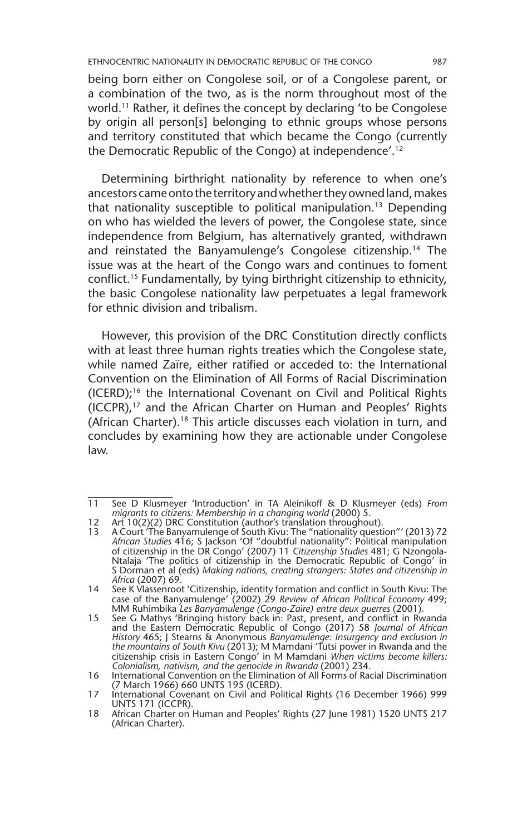being born either on Congolese soil, or of a Congolese parent, or a combination of the two, as is the norm throughout most of the world.<sup>11</sup> Rather, it defines the concept by declaring 'to be Congolese by origin all person[s] belonging to ethnic groups whose persons and territory constituted that which became the Congo (currently the Democratic Republic of the Congo) at independence'.12

Determining birthright nationality by reference to when one's ancestors came onto the territory and whether they owned land, makes that nationality susceptible to political manipulation.13 Depending on who has wielded the levers of power, the Congolese state, since independence from Belgium, has alternatively granted, withdrawn and reinstated the Banyamulenge's Congolese citizenship.14 The issue was at the heart of the Congo wars and continues to foment conflict.15 Fundamentally, by tying birthright citizenship to ethnicity, the basic Congolese nationality law perpetuates a legal framework for ethnic division and tribalism.

However, this provision of the DRC Constitution directly conflicts with at least three human rights treaties which the Congolese state, while named Zaïre, either ratified or acceded to: the International Convention on the Elimination of All Forms of Racial Discrimination (ICERD);16 the International Covenant on Civil and Political Rights (ICCPR),17 and the African Charter on Human and Peoples' Rights (African Charter).18 This article discusses each violation in turn, and concludes by examining how they are actionable under Congolese law.

<sup>11</sup> See D Klusmeyer 'Introduction' in TA Aleinikoff & D Klusmeyer (eds) *From migrants to citizens: Membership in a changing world* (2000) 5.

<sup>12</sup> Art 10(2)(2) DRC Constitution (author's translation throughout).

<sup>13</sup> A Court 'The Banyamulenge of South Kivu: The "nationality question"' (2013) 72 *African Studies* 416; S Jackson 'Of "doubtful nationality": Political manipulation of citizenship in the DR Congo' (2007) 11 *Citizenship Studies* 481; G Nzongola-Ntalaja 'The politics of citizenship in the Democratic Republic of Congo' in S Dorman et al (eds) *Making nations, creating strangers: States and citizenship in Africa* (2007) 69.

<sup>14</sup> See K Vlassenroot 'Citizenship, identity formation and conflict in South Kivu: The case of the Banyamulenge' (2002) 29 *Review of African Political Economy* 499; MM Ruhimbika *Les Banyamulenge (Congo-Zaïre) entre deux guerres* (2001).

<sup>15</sup> See G Mathys 'Bringing history back in: Past, present, and conflict in Rwanda and the Eastern Democratic Republic of Congo (2017) 58 *Journal of African History* 465; J Stearns & Anonymous *Banyamulenge: Insurgency and exclusion in the mountains of South Kivu* (2013); M Mamdani 'Tutsi power in Rwanda and the citizenship crisis in Eastern Congo' in M Mamdani *When victims become killers: Colonialism, nativism, and the genocide in Rwanda* (2001) 234.

<sup>16</sup> International Convention on the Elimination of All Forms of Racial Discrimination (7 March 1966) 660 UNTS 195 (ICERD).

<sup>17</sup> International Covenant on Civil and Political Rights (16 December 1966) 999 UNTS 171 (ICCPR).

<sup>18</sup> African Charter on Human and Peoples' Rights (27 June 1981) 1520 UNTS 217 (African Charter).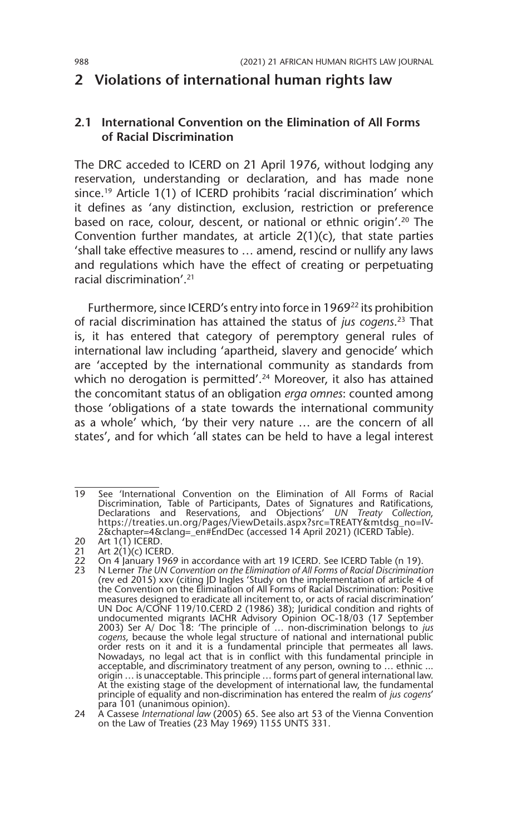## **2 Violations of international human rights law**

#### **2.1 International Convention on the Elimination of All Forms of Racial Discrimination**

The DRC acceded to ICERD on 21 April 1976, without lodging any reservation, understanding or declaration, and has made none since.19 Article 1(1) of ICERD prohibits 'racial discrimination' which it defines as 'any distinction, exclusion, restriction or preference based on race, colour, descent, or national or ethnic origin'.20 The Convention further mandates, at article 2(1)(c), that state parties 'shall take effective measures to … amend, rescind or nullify any laws and regulations which have the effect of creating or perpetuating racial discrimination'.21

Furthermore, since ICERD's entry into force in 1969<sup>22</sup> its prohibition of racial discrimination has attained the status of *jus cogens*. 23 That is, it has entered that category of peremptory general rules of international law including 'apartheid, slavery and genocide' which are 'accepted by the international community as standards from which no derogation is permitted'.<sup>24</sup> Moreover, it also has attained the concomitant status of an obligation *erga omnes*: counted among those 'obligations of a state towards the international community as a whole' which, 'by their very nature … are the concern of all states', and for which 'all states can be held to have a legal interest

<sup>19</sup> See 'International Convention on the Elimination of All Forms of Racial Discrimination, Table of Participants, Dates of Signatures and Ratifications, Declarations and Reservations, and Objections' *UN Treaty Collection*, https://treaties.un.org/Pages/ViewDetails.aspx?src=TREATY&mtdsg\_no=IV-2&chapter=4&clang=\_en#EndDec (accessed 14 April 2021) (ICERD Table).

<sup>20</sup> Art 1(1) ICERD.

<sup>21</sup> Art 2(1)(c) ICERD.<br>22 On 4 January 196

<sup>22</sup> On 4 January 1969 in accordance with art 19 ICERD. See ICERD Table (n 19).<br>23 N Lerner *The UN Convention on the Flimination of All Forms of Racial Discriminati* 

<sup>23</sup> N Lerner *The UN Convention on the Elimination of All Forms of Racial Discrimination* (rev ed 2015) xxv (citing JD Ingles 'Study on the implementation of article 4 of the Convention on the Elimination of All Forms of Racial Discrimination: Positive measures designed to eradicate all incitement to, or acts of racial discrimination' UN Doc A/CONF 119/10.CERD 2 (1986) 38); Juridical condition and rights of undocumented migrants IACHR Advisory Opinion OC-18/03 (17 September 2003) Ser A/ Doc 18: 'The principle of … non-discrimination belongs to *jus cogens*, because the whole legal structure of national and international public order rests on it and it is a fundamental principle that permeates all laws. Nowadays, no legal act that is in conflict with this fundamental principle in acceptable, and discriminatory treatment of any person, owning to … ethnic ... origin ... is unacceptable. This principle ... forms part of general international law.<br>At the existing stage of the development of international law, the fundamental<br>principle of equality and non-discrimination has entere para 101 (unanimous opinion).

<sup>24</sup> A Cassese *International law* (2005) 65. See also art 53 of the Vienna Convention on the Law of Treaties (23 May 1969) 1155 UNTS 331.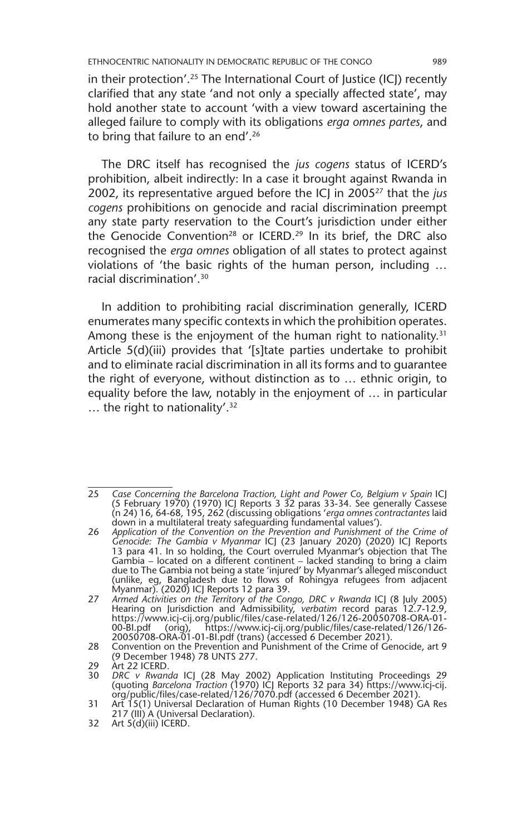in their protection'.<sup>25</sup> The International Court of Justice (ICJ) recently clarified that any state 'and not only a specially affected state', may hold another state to account 'with a view toward ascertaining the alleged failure to comply with its obligations *erga omnes partes*, and to bring that failure to an end'.<sup>26</sup>

The DRC itself has recognised the *jus cogens* status of ICERD's prohibition, albeit indirectly: In a case it brought against Rwanda in 2002, its representative argued before the ICJ in 200527 that the *jus cogens* prohibitions on genocide and racial discrimination preempt any state party reservation to the Court's jurisdiction under either the Genocide Convention<sup>28</sup> or ICERD.<sup>29</sup> In its brief, the DRC also recognised the *erga omnes* obligation of all states to protect against violations of 'the basic rights of the human person, including … racial discrimination'.30

In addition to prohibiting racial discrimination generally, ICERD enumerates many specific contexts in which the prohibition operates. Among these is the enjoyment of the human right to nationality.<sup>31</sup> Article 5(d)(iii) provides that '[s]tate parties undertake to prohibit and to eliminate racial discrimination in all its forms and to guarantee the right of everyone, without distinction as to … ethnic origin, to equality before the law, notably in the enjoyment of … in particular … the right to nationality'.32

<sup>25</sup> *Case Concerning the Barcelona Traction, Light and Power Co, Belgium v Spain* ICJ (5 February 1970) (1970) ICJ Reports 3 32 paras 33-34. See generally Cassese (n 24) 16, 64-68, 195, 262 (discussing obligations '*erga omnes contractantes* laid down in a multilateral treaty safeguarding fundamental values').

<sup>26</sup> *Application of the Convention on the Prevention and Punishment of the Crime of Genocide: The Gambia v Myanmar* ICJ (23 January 2020) (2020) ICJ Reports 13 para 41. In so holding, the Court overruled Myanmar's objection that The Gambia – located on a different continent – lacked standing to bring a claim due to The Gambia not being a state 'injured' by Myanmar's alleged misconduct (unlike, eg, Bangladesh due to flows of Rohingya refugees from adjacent Myanmar). (2020) ICJ Reports 12 para 39.

<sup>27</sup> *Armed Activities on the Territory of the Congo, DRC v Rwanda* ICJ (8 July 2005) Hearing on Jurisdiction and Admissibility, *verbatim* record paras 12.7-12.9, https://www.icj-cij.org/public/files/case-related/126/126-20050708-ORA-01- 00-BI.pdf (orig), https://www.icj-cij.org/public/files/case-related/126/126- 20050708-ORA-01-01-BI.pdf (trans) (accessed 6 December 2021).

<sup>28</sup> Convention on the Prevention and Punishment of the Crime of Genocide, art 9 (9 December 1948) 78 UNTS 277.

<sup>29</sup> Art 22 ICERD.<br>30 DRC v Rwand

<sup>30</sup> DRC v Rwanda ICJ (28 May 2002) Application Instituting Proceedings 29 (quoting Barcelona Traction (1970) ICJ Reports 32 para 34) https://www.icj-cij.<br>org/public/files/case-related/126/7070.pdf (accessed 6 December 2021)

<sup>31</sup> Art 15(1) Universal Declaration of Human Rights (10 December 1948) GA Res 217 (III) A (Universal Declaration).

<sup>32</sup> Art  $5(d)(iii)$  ICERD.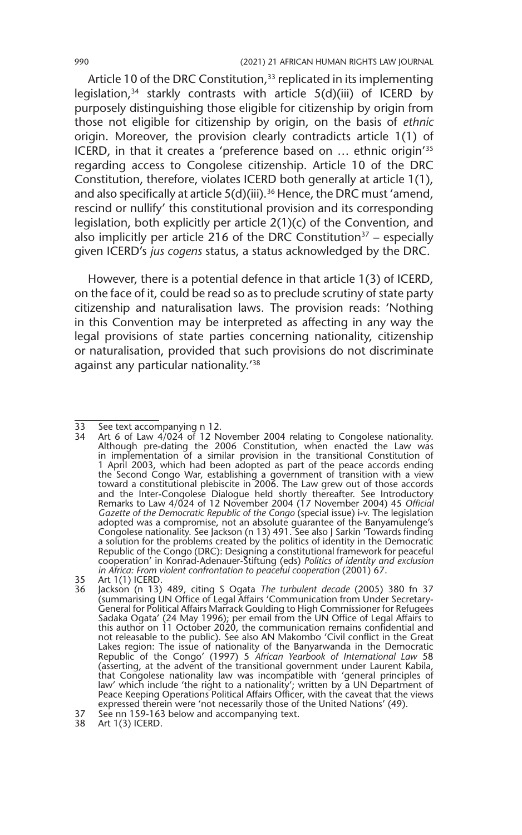Article 10 of the DRC Constitution,<sup>33</sup> replicated in its implementing legislation,<sup>34</sup> starkly contrasts with article  $5(d)(iii)$  of ICERD by purposely distinguishing those eligible for citizenship by origin from those not eligible for citizenship by origin, on the basis of *ethnic* origin. Moreover, the provision clearly contradicts article 1(1) of ICERD, in that it creates a 'preference based on … ethnic origin'35 regarding access to Congolese citizenship. Article 10 of the DRC Constitution, therefore, violates ICERD both generally at article 1(1), and also specifically at article  $5(d)$ (iii).<sup>36</sup> Hence, the DRC must 'amend, rescind or nullify' this constitutional provision and its corresponding legislation, both explicitly per article 2(1)(c) of the Convention, and also implicitly per article 216 of the DRC Constitution<sup>37</sup> – especially given ICERD's *jus cogens* status, a status acknowledged by the DRC.

However, there is a potential defence in that article 1(3) of ICERD, on the face of it, could be read so as to preclude scrutiny of state party citizenship and naturalisation laws. The provision reads: 'Nothing in this Convention may be interpreted as affecting in any way the legal provisions of state parties concerning nationality, citizenship or naturalisation, provided that such provisions do not discriminate against any particular nationality.'38

<sup>33</sup> See text accompanying n 12.

<sup>34</sup> Art 6 of Law 4/024 of 12 November 2004 relating to Congolese nationality. Although pre-dating the 2006 Constitution, when enacted the Law was in implementation of a similar provision in the transitional Constitution of 1 April 2003, which had been adopted as part of the peace accords ending the Second Congo War, establishing a government of transition with a view toward a constitutional plebiscite in 2006. The Law grew out of those accords and the Inter-Congolese Dialogue held shortly thereafter. See Introductory Remarks to Law 4/024 of 12 November 2004 (17 November 2004) 45 *Official Gazette of the Democratic Republic of the Congo* (special issue) i-v. The legislation adopted was a compromise, not an absolute guarantee of the Banyamulenge's Congolese nationality. See Jackson (n 13) 491. See also J Sarkin 'Towards finding a solution for the problems created by the politics of identity in the Democratic Republic of the Congo (DRC): Designing a constitutional framework for peaceful cooperation' in Konrad-Adenauer-Stiftung (eds) *Politics of identity and exclusion in Africa: From violent confrontation to peaceful cooperation* (2001) 67.

<sup>35</sup> Art 1(1) ICERD.<br>36 Jackson (n 13)

<sup>36</sup> Jackson (n 13) 489, citing S Ogata *The turbulent decade* (2005) 380 fn 37 (summarising UN Office of Legal Affairs 'Communication from Under Secretary-General for Political Affairs Marrack Goulding to High Commissioner for Refugees Sadaka Ogata' (24 May 1996); per email from the UN Office of Legal Affairs to this author on 11 October 2020, the communication remains confidential and not releasable to the public). See also AN Makombo 'Civil conflict in the Great Lakes region: The issue of nationality of the Banyarwanda in the Democratic Republic of the Congo' (1997) 5 *African Yearbook of International Law* 58 (asserting, at the advent of the transitional government under Laurent Kabila, that Congolese nationality law was incompatible with 'general principles of law' which include 'the right to a nationality'; written by a UN Department of Peace Keeping Operations Political Affairs Officer, with the caveat that the views expressed therein were 'not necessarily those of the United Nations' (49).

<sup>37</sup> See nn 159-163 below and accompanying text.

<sup>38</sup> Art 1(3) ICERD.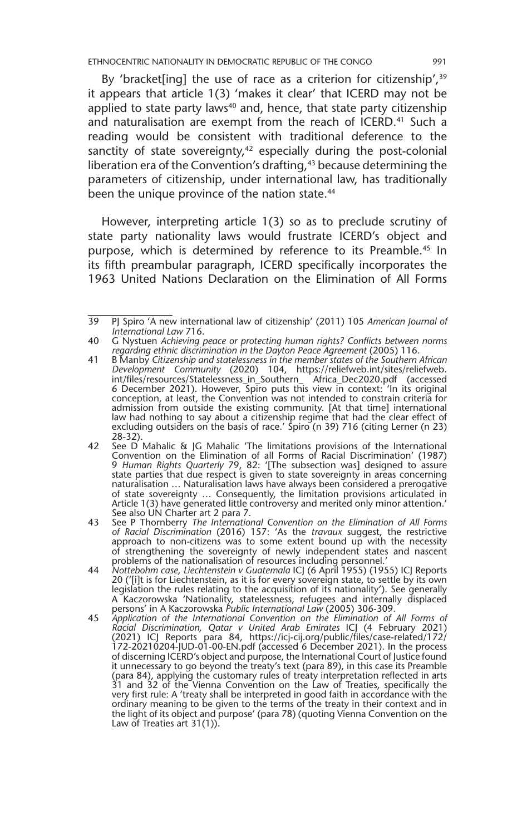ETHNOCENTRIC NATIONALITY IN DEMOCRATIC REPUBLIC OF THE CONGO 991

By 'bracket[ing] the use of race as a criterion for citizenship',<sup>39</sup> it appears that article 1(3) 'makes it clear' that ICERD may not be applied to state party laws<sup>40</sup> and, hence, that state party citizenship and naturalisation are exempt from the reach of ICERD.<sup>41</sup> Such a reading would be consistent with traditional deference to the sanctity of state sovereignty, $42$  especially during the post-colonial liberation era of the Convention's drafting,<sup>43</sup> because determining the parameters of citizenship, under international law, has traditionally been the unique province of the nation state.<sup>44</sup>

However, interpreting article 1(3) so as to preclude scrutiny of state party nationality laws would frustrate ICERD's object and purpose, which is determined by reference to its Preamble.<sup>45</sup> In its fifth preambular paragraph, ICERD specifically incorporates the 1963 United Nations Declaration on the Elimination of All Forms

<sup>39</sup> PJ Spiro 'A new international law of citizenship' (2011) 105 *American Journal of International Law* 716.

<sup>40</sup> G Nystuen *Achieving peace or protecting human rights? Conflicts between norms regarding ethnic discrimination in the Dayton Peace Agreement* (2005) 116.

<sup>41</sup> B Manby *Citizenship and statelessness in the member states of the Southern African Development Community* (2020) 104, https://reliefweb.int/sites/reliefweb. int/files/resources/Statelessness\_in\_Southern\_ Africa\_Dec2020.pdf (accessed 6 December 2021). However, Spiro puts this view in context: 'In its original conception, at least, the Convention was not intended to constrain criteria for admission from outside the existing community. [At that time] international law had nothing to say about a citizenship regime that had the clear effect of excluding outsiders on the basis of race.' Spiro (n 39) 716 (citing Lerner (n 23) 28-32).

<sup>42</sup> See D Mahalic & JG Mahalic 'The limitations provisions of the International Convention on the Elimination of all Forms of Racial Discrimination' (1987) 9 *Human Rights Quarterly* 79, 82: '[The subsection was] designed to assure state parties that due respect is given to state sovereignty in areas concerning naturalisation … Naturalisation laws have always been considered a prerogative of state sovereignty … Consequently, the limitation provisions articulated in Article 1(3) have generated little controversy and merited only minor attention.' See also UN Charter art 2 para 7.

<sup>43</sup> See P Thornberry *The International Convention on the Elimination of All Forms of Racial Discrimination* (2016) 157: 'As the *travaux* suggest, the restrictive approach to non-citizens was to some extent bound up with the necessity of strengthening the sovereignty of newly independent states and nascent problems of the nationalisation of resources including personnel.'

<sup>44</sup> *Nottebohm case, Liechtenstein v Guatemala* ICJ (6 April 1955) (1955) ICJ Reports 20 ('[i]t is for Liechtenstein, as it is for every sovereign state, to settle by its own legislation the rules relating to the acquisition of its nationality'). See generally A Kaczorowska 'Nationality, statelessness, refugees and internally displaced persons' in A Kaczorowska *Public International Law* (2005) 306-309.

<sup>45</sup> *Application of the International Convention on the Elimination of All Forms of Racial Discrimination, Qatar v United Arab Emirates* ICJ (4 February 2021) (2021) ICJ Reports para 84, https://icj-cij.org/public/files/case-related/172/ 172-20210204-JUD-01-00-EN.pdf (accessed 6 December 2021). In the process of discerning ICERD's object and purpose, the International Court of Justice found it unnecessary to go beyond the treaty's text (para 89), in this case its Preamble (para 84), applying the customary rules of treaty interpretation reflected in arts<br>31 and 32 of the Vienna Convention on the Law of Treaties, specifically the<br>very first rule: A 'treaty shall be interpreted in good faith i ordinary meaning to be given to the terms of the treaty in their context and in the light of its object and purpose' (para 78) (quoting Vienna Convention on the Law of Treaties art 31(1)).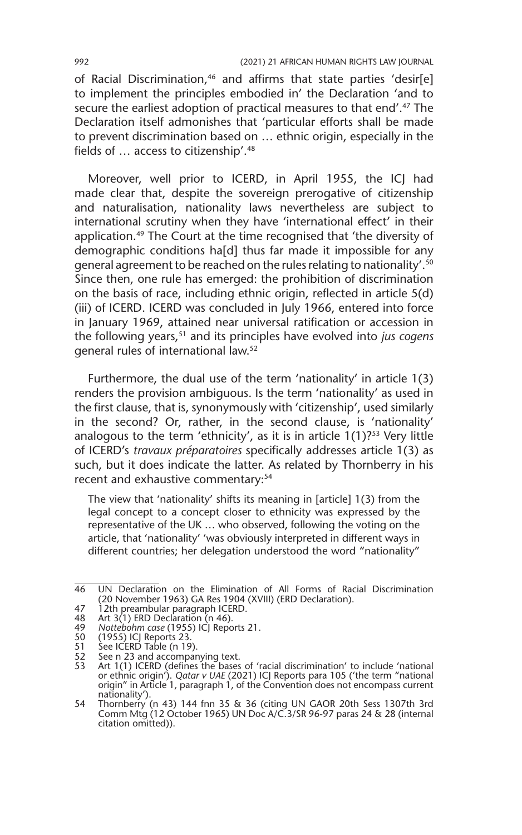of Racial Discrimination,<sup>46</sup> and affirms that state parties 'desir[e] to implement the principles embodied in' the Declaration 'and to secure the earliest adoption of practical measures to that end'.<sup>47</sup> The Declaration itself admonishes that 'particular efforts shall be made to prevent discrimination based on … ethnic origin, especially in the fields of … access to citizenship'.48

Moreover, well prior to ICERD, in April 1955, the ICJ had made clear that, despite the sovereign prerogative of citizenship and naturalisation, nationality laws nevertheless are subject to international scrutiny when they have 'international effect' in their application.<sup>49</sup> The Court at the time recognised that 'the diversity of demographic conditions ha[d] thus far made it impossible for any general agreement to be reached on the rules relating to nationality'.50 Since then, one rule has emerged: the prohibition of discrimination on the basis of race, including ethnic origin, reflected in article 5(d) (iii) of ICERD. ICERD was concluded in July 1966, entered into force in January 1969, attained near universal ratification or accession in the following years,51 and its principles have evolved into *jus cogens*  general rules of international law.52

Furthermore, the dual use of the term 'nationality' in article 1(3) renders the provision ambiguous. Is the term 'nationality' as used in the first clause, that is, synonymously with 'citizenship', used similarly in the second? Or, rather, in the second clause, is 'nationality' analogous to the term 'ethnicity', as it is in article  $1(1)$ ?<sup>53</sup> Very little of ICERD's *travaux préparatoires* specifically addresses article 1(3) as such, but it does indicate the latter. As related by Thornberry in his recent and exhaustive commentary:<sup>54</sup>

The view that 'nationality' shifts its meaning in [article] 1(3) from the legal concept to a concept closer to ethnicity was expressed by the representative of the UK … who observed, following the voting on the article, that 'nationality' 'was obviously interpreted in different ways in different countries; her delegation understood the word "nationality"

<sup>46</sup> UN Declaration on the Elimination of All Forms of Racial Discrimination (20 November 1963) GA Res 1904 (XVIII) (ERD Declaration).

<sup>47</sup> 12th preambular paragraph ICERD.

<sup>48</sup> Art 3(1) ERD Declaration (n 46).

<sup>49</sup> *Nottebohm case* (1955) ICJ Reports 21.

<sup>50 (1955)</sup> ICJ Reports 23.<br>51 See ICERD Table (n 19

<sup>51</sup> See ICERD Table (n 19).<br>52 See n 23 and accompar

See n 23 and accompanying text.

<sup>53</sup> Art 1(1) ICERD (defines the bases of 'racial discrimination' to include 'national or ethnic origin'). *Qatar v UAE* (2021) ICJ Reports para 105 ('the term "national origin" in Article 1, paragraph 1, of the Convention does not encompass current nationality').

<sup>54</sup> Thornberry (n 43) 144 fnn 35 & 36 (citing UN GAOR 20th Sess 1307th 3rd Comm Mtg (12 October 1965) UN Doc A/C.3/SR 96-97 paras 24 & 28 (internal citation omitted)).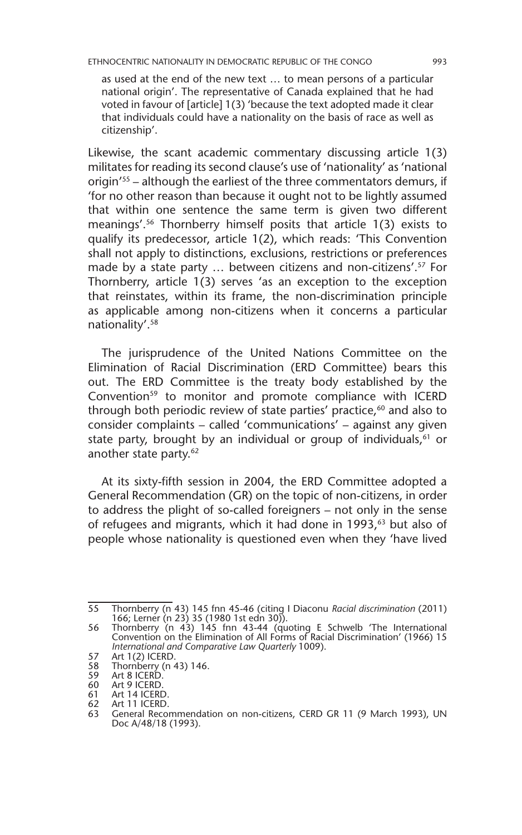as used at the end of the new text … to mean persons of a particular national origin'. The representative of Canada explained that he had voted in favour of [article] 1(3) 'because the text adopted made it clear that individuals could have a nationality on the basis of race as well as citizenship'.

Likewise, the scant academic commentary discussing article 1(3) militates for reading its second clause's use of 'nationality' as 'national origin'55 – although the earliest of the three commentators demurs, if 'for no other reason than because it ought not to be lightly assumed that within one sentence the same term is given two different meanings'.56 Thornberry himself posits that article 1(3) exists to qualify its predecessor, article 1(2), which reads: 'This Convention shall not apply to distinctions, exclusions, restrictions or preferences made by a state party ... between citizens and non-citizens'.<sup>57</sup> For Thornberry, article 1(3) serves 'as an exception to the exception that reinstates, within its frame, the non-discrimination principle as applicable among non-citizens when it concerns a particular nationality'.58

The jurisprudence of the United Nations Committee on the Elimination of Racial Discrimination (ERD Committee) bears this out. The ERD Committee is the treaty body established by the Convention<sup>59</sup> to monitor and promote compliance with ICERD through both periodic review of state parties' practice,<sup>60</sup> and also to consider complaints – called 'communications' – against any given state party, brought by an individual or group of individuals, $61$  or another state party.<sup>62</sup>

At its sixty-fifth session in 2004, the ERD Committee adopted a General Recommendation (GR) on the topic of non-citizens, in order to address the plight of so-called foreigners – not only in the sense of refugees and migrants, which it had done in 1993,<sup>63</sup> but also of people whose nationality is questioned even when they 'have lived

<sup>55</sup> Thornberry (n 43) 145 fnn 45-46 (citing I Diaconu *Racial discrimination* (2011) 166; Lerner (n 23) 35 (1980 1st edn 30)).

<sup>56</sup> Thornberry (n 43) 145 fnn 43-44 (quoting E Schwelb 'The International Convention on the Elimination of All Forms of Racial Discrimination' (1966) 15 *International and Comparative Law Quarterly* 1009).

<sup>57</sup> Art  $1(2)$  ICERD.<br>58 Thornberry (n.

<sup>58</sup> Thornberry (n 43) 146.<br>59 Art 8 ICERD.

<sup>59</sup> Art 8 ICERD.<br>60 Art 9 ICERD. Art 9 ICERD.

<sup>61</sup> Art 14 ICERD.<br>62 Art 11 ICERD.

<sup>62</sup> Art 11 ICERD.<br>63 General Recou

General Recommendation on non-citizens, CERD GR 11 (9 March 1993), UN Doc A/48/18 (1993).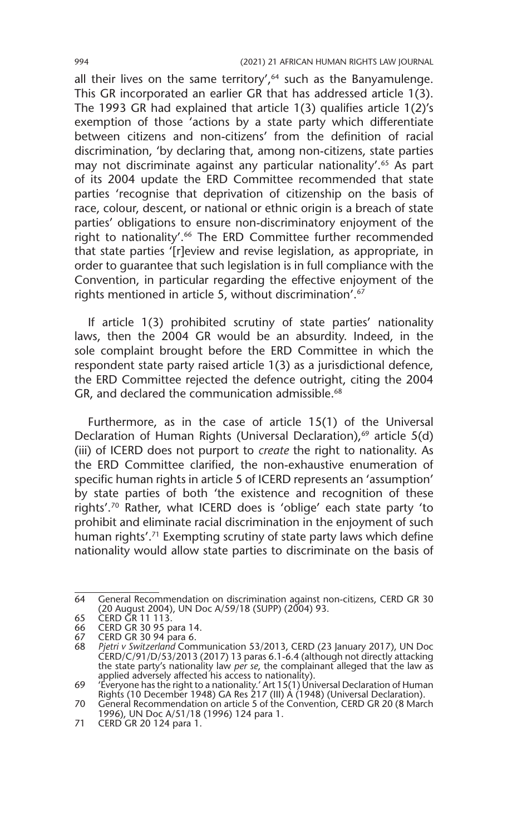all their lives on the same territory', $64$  such as the Banyamulenge. This GR incorporated an earlier GR that has addressed article 1(3). The 1993 GR had explained that article 1(3) qualifies article 1(2)'s exemption of those 'actions by a state party which differentiate between citizens and non-citizens' from the definition of racial discrimination, 'by declaring that, among non-citizens, state parties may not discriminate against any particular nationality'.<sup>65</sup> As part of its 2004 update the ERD Committee recommended that state parties 'recognise that deprivation of citizenship on the basis of race, colour, descent, or national or ethnic origin is a breach of state parties' obligations to ensure non-discriminatory enjoyment of the right to nationality'.<sup>66</sup> The ERD Committee further recommended that state parties '[r]eview and revise legislation, as appropriate, in order to guarantee that such legislation is in full compliance with the Convention, in particular regarding the effective enjoyment of the rights mentioned in article 5, without discrimination'.67

If article 1(3) prohibited scrutiny of state parties' nationality laws, then the 2004 GR would be an absurdity. Indeed, in the sole complaint brought before the ERD Committee in which the respondent state party raised article 1(3) as a jurisdictional defence, the ERD Committee rejected the defence outright, citing the 2004 GR, and declared the communication admissible.<sup>68</sup>

Furthermore, as in the case of article 15(1) of the Universal Declaration of Human Rights (Universal Declaration),<sup>69</sup> article 5(d) (iii) of ICERD does not purport to *create* the right to nationality. As the ERD Committee clarified, the non-exhaustive enumeration of specific human rights in article 5 of ICERD represents an 'assumption' by state parties of both 'the existence and recognition of these rights'.70 Rather, what ICERD does is 'oblige' each state party 'to prohibit and eliminate racial discrimination in the enjoyment of such human rights'.<sup>71</sup> Exempting scrutiny of state party laws which define nationality would allow state parties to discriminate on the basis of

<sup>64</sup> General Recommendation on discrimination against non-citizens, CERD GR 30 (20 August 2004), UN Doc A/59/18 (SUPP) (2004) 93.

<sup>65</sup> CERD GR 11 113.

<sup>66</sup> CERD GR 30 95 para 14.

<sup>67</sup> CERD GR 30 94 para 6.<br>68 Pietri v Switzerland Com

<sup>68</sup> *Pjetri v Switzerland* Communication 53/2013, CERD (23 January 2017), UN Doc CERD/C/91/D/53/2013 (2017) 13 paras 6.1-6.4 (although not directly attacking the state party's nationality law *per se*, the complainant alleged that the law as

applied adversely affected his access to nationality). 69 'Everyone has the right to a nationality.' Art 15(1) Universal Declaration of Human Rights (10 December 1948) GA Res 217 (III) A (1948) (Universal Declaration).

<sup>70</sup> General Recommendation on article 5 of the Convention, CERD GR 20 (8 March 1996), UN Doc A/51/18 (1996) 124 para 1.

<sup>71</sup> CERD GR 20 124 para 1.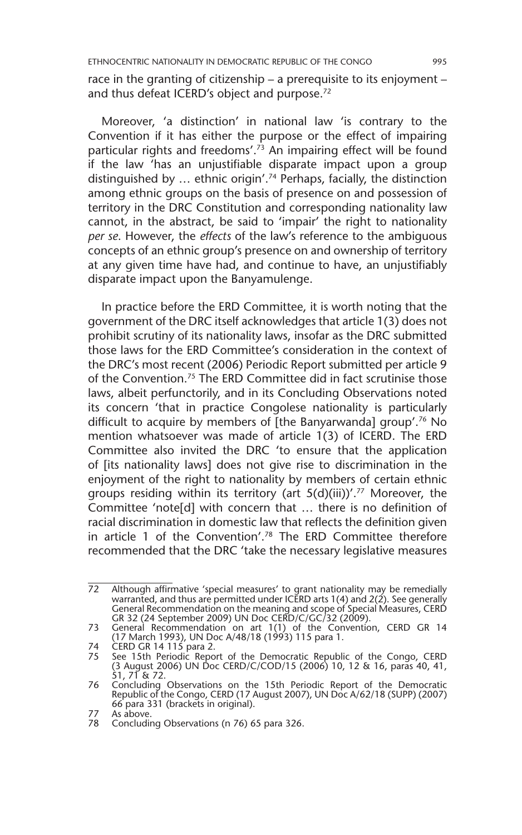ETHNOCENTRIC NATIONALITY IN DEMOCRATIC REPUBLIC OF THE CONGO 995

race in the granting of citizenship – a prerequisite to its enjoyment – and thus defeat ICERD's object and purpose.72

Moreover, 'a distinction' in national law 'is contrary to the Convention if it has either the purpose or the effect of impairing particular rights and freedoms'.<sup>73</sup> An impairing effect will be found if the law 'has an unjustifiable disparate impact upon a group distinguished by … ethnic origin'.74 Perhaps, facially, the distinction among ethnic groups on the basis of presence on and possession of territory in the DRC Constitution and corresponding nationality law cannot, in the abstract, be said to 'impair' the right to nationality *per se*. However, the *effects* of the law's reference to the ambiguous concepts of an ethnic group's presence on and ownership of territory at any given time have had, and continue to have, an unjustifiably disparate impact upon the Banyamulenge.

In practice before the ERD Committee, it is worth noting that the government of the DRC itself acknowledges that article 1(3) does not prohibit scrutiny of its nationality laws, insofar as the DRC submitted those laws for the ERD Committee's consideration in the context of the DRC's most recent (2006) Periodic Report submitted per article 9 of the Convention.75 The ERD Committee did in fact scrutinise those laws, albeit perfunctorily, and in its Concluding Observations noted its concern 'that in practice Congolese nationality is particularly difficult to acquire by members of [the Banyarwanda] group'.76 No mention whatsoever was made of article 1(3) of ICERD. The ERD Committee also invited the DRC 'to ensure that the application of [its nationality laws] does not give rise to discrimination in the enjoyment of the right to nationality by members of certain ethnic groups residing within its territory (art  $5(d)(iii)$ '.<sup>77</sup> Moreover, the Committee 'note[d] with concern that … there is no definition of racial discrimination in domestic law that reflects the definition given in article 1 of the Convention'.78 The ERD Committee therefore recommended that the DRC 'take the necessary legislative measures

<sup>72</sup> Although affirmative 'special measures' to grant nationality may be remedially warranted, and thus are permitted under ICERD arts 1(4) and 2(2). See generally General Recommendation on the meaning and scope of Special Measures, CERD GR 32 (24 September 2009) UN Doc CERD/C/GC/32 (2009).

<sup>73</sup> General Recommendation on art 1(1) of the Convention, CERD GR 14 (17 March 1993), UN Doc A/48/18 (1993) 115 para 1.

<sup>74</sup> CERD GR 14 115 para 2.

<sup>75</sup> See 15th Periodic Report of the Democratic Republic of the Congo, CERD (3 August 2006) UN Doc CERD/C/COD/15 (2006) 10, 12 & 16, paras 40, 41, 51, 71 & 72.

<sup>76</sup> Concluding Observations on the 15th Periodic Report of the Democratic Republic of the Congo, CERD (17 August 2007), UN Doc A/62/18 (SUPP) (2007) 66 para 331 (brackets in original).

<sup>77</sup> As above.

<sup>78</sup> Concluding Observations (n 76) 65 para 326.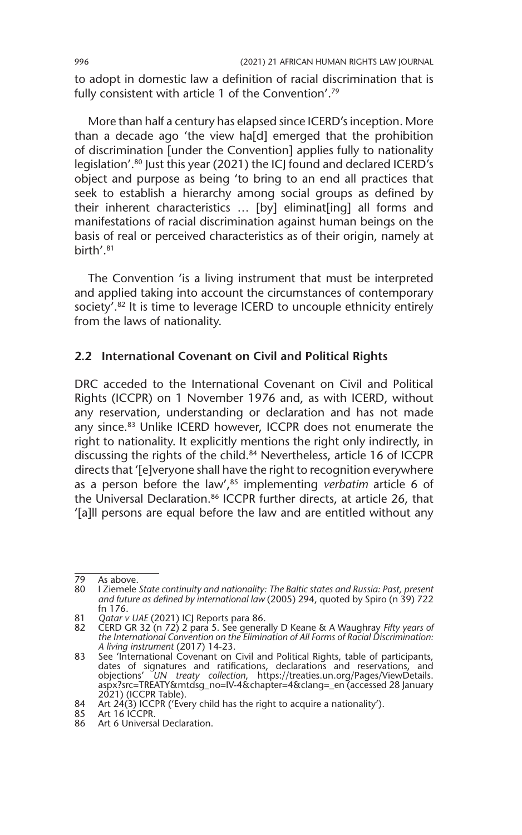to adopt in domestic law a definition of racial discrimination that is fully consistent with article 1 of the Convention'.79

More than half a century has elapsed since ICERD's inception. More than a decade ago 'the view ha[d] emerged that the prohibition of discrimination [under the Convention] applies fully to nationality legislation'.<sup>80</sup> Just this year (2021) the ICJ found and declared ICERD's object and purpose as being 'to bring to an end all practices that seek to establish a hierarchy among social groups as defined by their inherent characteristics … [by] eliminat[ing] all forms and manifestations of racial discrimination against human beings on the basis of real or perceived characteristics as of their origin, namely at birth'.81

The Convention 'is a living instrument that must be interpreted and applied taking into account the circumstances of contemporary society'.82 It is time to leverage ICERD to uncouple ethnicity entirely from the laws of nationality.

#### **2.2 International Covenant on Civil and Political Rights**

DRC acceded to the International Covenant on Civil and Political Rights (ICCPR) on 1 November 1976 and, as with ICERD, without any reservation, understanding or declaration and has not made any since.<sup>83</sup> Unlike ICERD however, ICCPR does not enumerate the right to nationality. It explicitly mentions the right only indirectly, in discussing the rights of the child.<sup>84</sup> Nevertheless, article 16 of ICCPR directs that '[e]veryone shall have the right to recognition everywhere as a person before the law',85 implementing *verbatim* article 6 of the Universal Declaration.<sup>86</sup> ICCPR further directs, at article 26, that '[a]ll persons are equal before the law and are entitled without any

<sup>79</sup> As above.<br>80 I Ziemele

<sup>80</sup> I Ziemele *State continuity and nationality: The Baltic states and Russia: Past, present and future as defined by international law* (2005) 294, quoted by Spiro (n 39) 722 fn 176.

<sup>81</sup> *Qatar v UAE* (2021) ICJ Reports para 86.

<sup>82</sup> CERD GR 32 (n 72) 2 para 5. See generally D Keane & A Waughray *Fifty years of the International Convention on the Elimination of All Forms of Racial Discrimination: A living instrument* (2017) 14-23.

<sup>83</sup> See 'International Covenant on Civil and Political Rights, table of participants, dates of signatures and ratifications, declarations and reservations, and objections' *UN treaty collection*, https://treaties.un.org/Pages/ViewDetails. aspx?src=TREATY&mtdsg\_no=IV-4&chapter=4&clang=\_en (accessed 28 January 2021) (ICCPR Table).

<sup>84</sup> Art 24(3) ICCPR ('Every child has the right to acquire a nationality').

<sup>85</sup> Art 16 ICCPR.

<sup>86</sup> Art 6 Universal Declaration.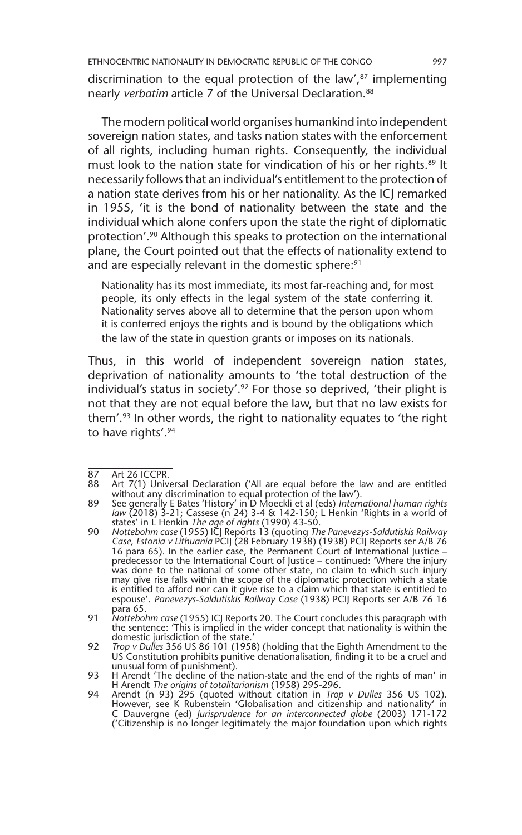discrimination to the equal protection of the law', $87$  implementing nearly *verbatim* article 7 of the Universal Declaration.88

The modern political world organises humankind into independent sovereign nation states, and tasks nation states with the enforcement of all rights, including human rights. Consequently, the individual must look to the nation state for vindication of his or her rights.<sup>89</sup> It necessarily follows that an individual's entitlement to the protection of a nation state derives from his or her nationality. As the ICJ remarked in 1955, 'it is the bond of nationality between the state and the individual which alone confers upon the state the right of diplomatic protection'.<sup>90</sup> Although this speaks to protection on the international plane, the Court pointed out that the effects of nationality extend to and are especially relevant in the domestic sphere:<sup>91</sup>

Nationality has its most immediate, its most far-reaching and, for most people, its only effects in the legal system of the state conferring it. Nationality serves above all to determine that the person upon whom it is conferred enjoys the rights and is bound by the obligations which the law of the state in question grants or imposes on its nationals.

Thus, in this world of independent sovereign nation states, deprivation of nationality amounts to 'the total destruction of the individual's status in society'.<sup>92</sup> For those so deprived, 'their plight is not that they are not equal before the law, but that no law exists for them'.93 In other words, the right to nationality equates to 'the right to have rights'.94

<sup>87</sup> Art 26 ICCPR.<br>88 Art 7(1) Unive

Art 7(1) Universal Declaration ('All are equal before the law and are entitled without any discrimination to equal protection of the law').

<sup>89</sup> See generally E Bates 'History' in D Moeckli et al (eds) *International human rights law* (2018) 3-21; Cassese (n 24) 3-4 & 142-150; L Henkin 'Rights in a world of states' in L Henkin *The age of rights* (1990) 43-50.

<sup>90</sup> *Nottebohm case* (1955) ICJ Reports 13 (quoting *The Panevezys-Saldutiskis Railway Case, Estonia v Lithuania* PCIJ (28 February 1938) (1938) PCIJ Reports ser A/B 76 16 para 65). In the earlier case, the Permanent Court of International Justice – predecessor to the International Court of Justice – continued: 'Where the injury was done to the national of some other state, no claim to which such injury may give rise falls within the scope of the diplomatic protection which a state is entitled to afford nor can it give rise to a claim which that state is entitled to espouse'. *Panevezys-Saldutiskis Railway Case* (1938) PCIJ Reports ser A/B 76 16 para 65.

<sup>91</sup> *Nottebohm case* (1955) ICJ Reports 20. The Court concludes this paragraph with the sentence: 'This is implied in the wider concept that nationality is within the domestic jurisdiction of the state.'

<sup>92</sup> *Trop v Dulles* 356 US 86 101 (1958) (holding that the Eighth Amendment to the US Constitution prohibits punitive denationalisation, finding it to be a cruel and unusual form of punishment).

<sup>93</sup> H Arendt 'The decline of the nation-state and the end of the rights of man' in<br>H Arendt *The origins of totalitarianism* (1958) 295-296.<br>94 Arendt (n 93) 295 (quoted without citation in *Trop v Dulles* 356 US 102).

However, see K Rubenstein 'Globalisation and citizenship and nationality' in C Dauvergne (ed) *Jurisprudence for an interconnected globe* (2003) 171-172 ('Citizenship is no longer legitimately the major foundation upon which rights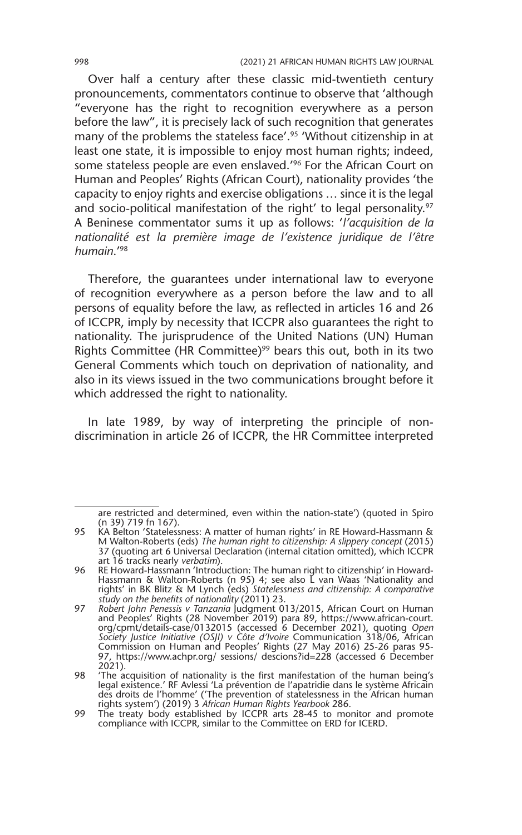Over half a century after these classic mid-twentieth century pronouncements, commentators continue to observe that 'although "everyone has the right to recognition everywhere as a person before the law", it is precisely lack of such recognition that generates many of the problems the stateless face'.<sup>95</sup> 'Without citizenship in at least one state, it is impossible to enjoy most human rights; indeed, some stateless people are even enslaved.<sup>'96</sup> For the African Court on Human and Peoples' Rights (African Court), nationality provides 'the capacity to enjoy rights and exercise obligations … since it is the legal and socio-political manifestation of the right' to legal personality.<sup>97</sup> A Beninese commentator sums it up as follows: '*l'acquisition de la nationalité est la première image de l'existence juridique de l'être humain*.'98

Therefore, the guarantees under international law to everyone of recognition everywhere as a person before the law and to all persons of equality before the law, as reflected in articles 16 and 26 of ICCPR, imply by necessity that ICCPR also guarantees the right to nationality. The jurisprudence of the United Nations (UN) Human Rights Committee (HR Committee)<sup>99</sup> bears this out, both in its two General Comments which touch on deprivation of nationality, and also in its views issued in the two communications brought before it which addressed the right to nationality.

In late 1989, by way of interpreting the principle of nondiscrimination in article 26 of ICCPR, the HR Committee interpreted

are restricted and determined, even within the nation-state') (quoted in Spiro (n 39) 719 fn 167).

<sup>95</sup> KA Belton 'Statelessness: A matter of human rights' in RE Howard-Hassmann & M Walton-Roberts (eds) *The human right to citizenship: A slippery concept* (2015) 37 (quoting art 6 Universal Declaration (internal citation omitted), which ICCPR art 16 tracks nearly *verbatim*).

<sup>96</sup> RE Howard-Hassmann 'Introduction: The human right to citizenship' in Howard-Hassmann & Walton-Roberts (n 95) 4; see also L van Waas 'Nationality and rights' in BK Blitz & M Lynch (eds) *Statelessness and citizenship: A comparative study on the benefits of nationality* (2011) 23.

<sup>97</sup> *Robert John Penessis v Tanzania* Judgment 013/2015, African Court on Human and Peoples' Rights (28 November 2019) para 89, https://www.african-court. org/cpmt/details-case/0132015 (accessed 6 December 2021), quoting *Open Society Justice Initiative (OSJI) v Côte d'Ivoire* Communication 318/06, African Commission on Human and Peoples' Rights (27 May 2016) 25-26 paras 95- 97, https://www.achpr.org/ sessions/ descions?id=228 (accessed 6 December 2021).

<sup>98</sup> The acquisition of nationality is the first manifestation of the human being's<br>legal existence.' RF Avlessi 'La prévention de l'apatridie dans le système Africain<br>des droits de l'homme' ('The prevention of statelessness rights system') (2019) 3 *African Human Rights Yearbook* 286.

<sup>99</sup> The treaty body established by ICCPR arts 28-45 to monitor and promote compliance with ICCPR, similar to the Committee on ERD for ICERD.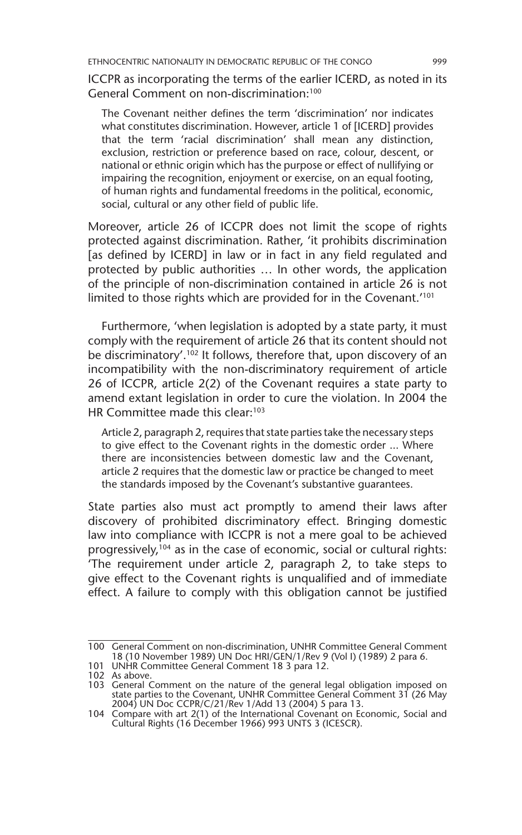ICCPR as incorporating the terms of the earlier ICERD, as noted in its General Comment on non-discrimination:100

The Covenant neither defines the term 'discrimination' nor indicates what constitutes discrimination. However, article 1 of [ICERD] provides that the term 'racial discrimination' shall mean any distinction, exclusion, restriction or preference based on race, colour, descent, or national or ethnic origin which has the purpose or effect of nullifying or impairing the recognition, enjoyment or exercise, on an equal footing, of human rights and fundamental freedoms in the political, economic, social, cultural or any other field of public life.

Moreover, article 26 of ICCPR does not limit the scope of rights protected against discrimination. Rather, 'it prohibits discrimination [as defined by ICERD] in law or in fact in any field regulated and protected by public authorities … In other words, the application of the principle of non-discrimination contained in article 26 is not limited to those rights which are provided for in the Covenant.<sup>'101</sup>

Furthermore, 'when legislation is adopted by a state party, it must comply with the requirement of article 26 that its content should not be discriminatory'.<sup>102</sup> It follows, therefore that, upon discovery of an incompatibility with the non-discriminatory requirement of article 26 of ICCPR, article 2(2) of the Covenant requires a state party to amend extant legislation in order to cure the violation. In 2004 the HR Committee made this clear:<sup>103</sup>

Article 2, paragraph 2, requires that state parties take the necessary steps to give effect to the Covenant rights in the domestic order ... Where there are inconsistencies between domestic law and the Covenant, article 2 requires that the domestic law or practice be changed to meet the standards imposed by the Covenant's substantive guarantees.

State parties also must act promptly to amend their laws after discovery of prohibited discriminatory effect. Bringing domestic law into compliance with ICCPR is not a mere goal to be achieved progressively, $104$  as in the case of economic, social or cultural rights: 'The requirement under article 2, paragraph 2, to take steps to give effect to the Covenant rights is unqualified and of immediate effect. A failure to comply with this obligation cannot be justified

<sup>100</sup> General Comment on non-discrimination, UNHR Committee General Comment 18 (10 November 1989) UN Doc HRI/GEN/1/Rev 9 (Vol I) (1989) 2 para 6.

<sup>101</sup> UNHR Committee General Comment 18 3 para 12.

<sup>102</sup> As above. 103 General Comment on the nature of the general legal obligation imposed on state parties to the Covenant, UNHR Committee General Comment 31 (26 May 2004) UN Doc CCPR/C/21/Rev 1/Add 13 (2004) 5 para 13.

<sup>104</sup> Compare with art 2(1) of the International Covenant on Economic, Social and Cultural Rights (16 December 1966) 993 UNTS 3 (ICESCR).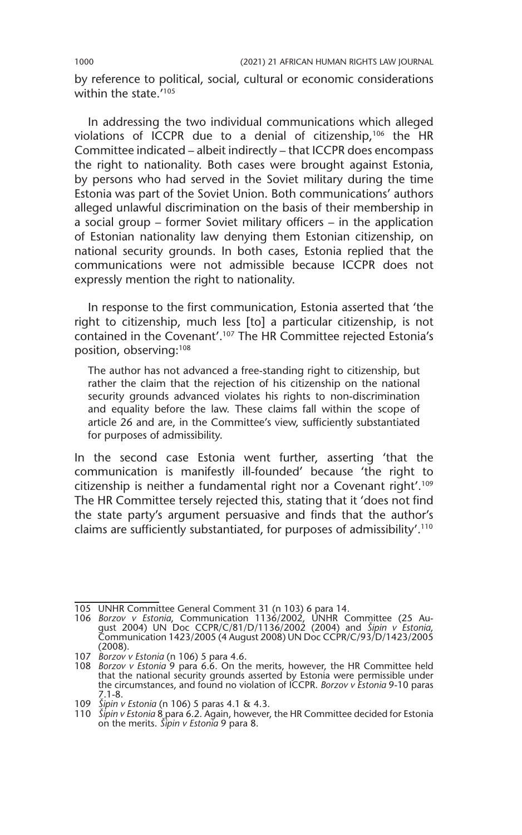by reference to political, social, cultural or economic considerations within the state.<sup>'105</sup>

In addressing the two individual communications which alleged violations of ICCPR due to a denial of citizenship,106 the HR Committee indicated – albeit indirectly – that ICCPR does encompass the right to nationality. Both cases were brought against Estonia, by persons who had served in the Soviet military during the time Estonia was part of the Soviet Union. Both communications' authors alleged unlawful discrimination on the basis of their membership in a social group – former Soviet military officers – in the application of Estonian nationality law denying them Estonian citizenship, on national security grounds. In both cases, Estonia replied that the communications were not admissible because ICCPR does not expressly mention the right to nationality.

In response to the first communication, Estonia asserted that 'the right to citizenship, much less [to] a particular citizenship, is not contained in the Covenant'.107 The HR Committee rejected Estonia's position, observing:<sup>108</sup>

The author has not advanced a free-standing right to citizenship, but rather the claim that the rejection of his citizenship on the national security grounds advanced violates his rights to non-discrimination and equality before the law. These claims fall within the scope of article 26 and are, in the Committee's view, sufficiently substantiated for purposes of admissibility.

In the second case Estonia went further, asserting 'that the communication is manifestly ill-founded' because 'the right to citizenship is neither a fundamental right nor a Covenant right'.109 The HR Committee tersely rejected this, stating that it 'does not find the state party's argument persuasive and finds that the author's claims are sufficiently substantiated, for purposes of admissibility'.110

<sup>105</sup> UNHR Committee General Comment 31 (n 103) 6 para 14.

<sup>106</sup> *Borzov v Estonia*, Communication 1136/2002, UNHR Committee (25 August 2004) UN Doc CCPR/C/81/D/1136/2002 (2004) and *Šipin v Estonia*, Communication 1423/2005 (4 August 2008) UN Doc CCPR/C/93/D/1423/2005 (2008).

<sup>107</sup> *Borzov v Estonia* (n 106) 5 para 4.6.

<sup>108</sup> *Borzov v Estonia* 9 para 6.6. On the merits, however, the HR Committee held that the national security grounds asserted by Estonia were permissible under the circumstances, and found no violation of ICCPR. *Borzov v Estonia* 9-10 paras 7.1-8.

<sup>109</sup> *Šipin v Estonia* (n 106) 5 paras 4.1 & 4.3.

<sup>110</sup> *Šipin v Estonia* 8 para 6.2. Again, however, the HR Committee decided for Estonia on the merits. *Šipin v Estonia* 9 para 8.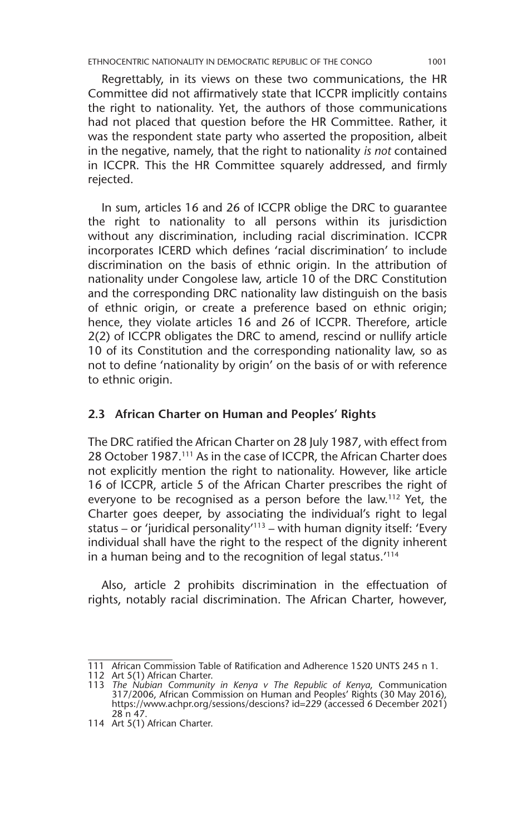ETHNOCENTRIC NATIONALITY IN DEMOCRATIC REPUBLIC OF THE CONGO 1001

Regrettably, in its views on these two communications, the HR Committee did not affirmatively state that ICCPR implicitly contains the right to nationality. Yet, the authors of those communications had not placed that question before the HR Committee. Rather, it was the respondent state party who asserted the proposition, albeit in the negative, namely, that the right to nationality *is not* contained in ICCPR. This the HR Committee squarely addressed, and firmly rejected.

In sum, articles 16 and 26 of ICCPR oblige the DRC to guarantee the right to nationality to all persons within its jurisdiction without any discrimination, including racial discrimination. ICCPR incorporates ICERD which defines 'racial discrimination' to include discrimination on the basis of ethnic origin. In the attribution of nationality under Congolese law, article 10 of the DRC Constitution and the corresponding DRC nationality law distinguish on the basis of ethnic origin, or create a preference based on ethnic origin; hence, they violate articles 16 and 26 of ICCPR. Therefore, article 2(2) of ICCPR obligates the DRC to amend, rescind or nullify article 10 of its Constitution and the corresponding nationality law, so as not to define 'nationality by origin' on the basis of or with reference to ethnic origin.

#### **2.3 African Charter on Human and Peoples' Rights**

The DRC ratified the African Charter on 28 July 1987, with effect from 28 October 1987.<sup>111</sup> As in the case of ICCPR, the African Charter does not explicitly mention the right to nationality. However, like article 16 of ICCPR, article 5 of the African Charter prescribes the right of everyone to be recognised as a person before the law.112 Yet, the Charter goes deeper, by associating the individual's right to legal status – or 'juridical personality $113$  – with human dignity itself: 'Every individual shall have the right to the respect of the dignity inherent in a human being and to the recognition of legal status.'114

Also, article 2 prohibits discrimination in the effectuation of rights, notably racial discrimination. The African Charter, however,

<sup>111</sup> African Commission Table of Ratification and Adherence 1520 UNTS 245 n 1.

<sup>112</sup> Art 5(1) African Charter. 113 *The Nubian Community in Kenya v The Republic of Kenya*, Communication 317/2006, African Commission on Human and Peoples' Rights (30 May 2016), https://www.achpr.org/sessions/descions? id=229 (accessed 6 December 2021) 28 n 47.

<sup>114</sup> Art 5(1) African Charter.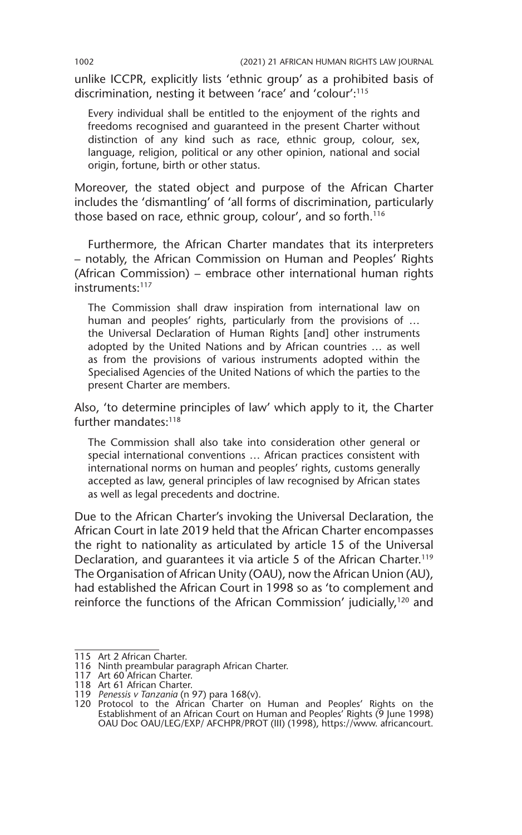unlike ICCPR, explicitly lists 'ethnic group' as a prohibited basis of discrimination, nesting it between 'race' and 'colour':115

Every individual shall be entitled to the enjoyment of the rights and freedoms recognised and guaranteed in the present Charter without distinction of any kind such as race, ethnic group, colour, sex, language, religion, political or any other opinion, national and social origin, fortune, birth or other status.

Moreover, the stated object and purpose of the African Charter includes the 'dismantling' of 'all forms of discrimination, particularly those based on race, ethnic group, colour', and so forth.<sup>116</sup>

Furthermore, the African Charter mandates that its interpreters – notably, the African Commission on Human and Peoples' Rights (African Commission) – embrace other international human rights instruments:<sup>117</sup>

The Commission shall draw inspiration from international law on human and peoples' rights, particularly from the provisions of ... the Universal Declaration of Human Rights [and] other instruments adopted by the United Nations and by African countries … as well as from the provisions of various instruments adopted within the Specialised Agencies of the United Nations of which the parties to the present Charter are members.

Also, 'to determine principles of law' which apply to it, the Charter further mandates:<sup>118</sup>

The Commission shall also take into consideration other general or special international conventions … African practices consistent with international norms on human and peoples' rights, customs generally accepted as law, general principles of law recognised by African states as well as legal precedents and doctrine.

Due to the African Charter's invoking the Universal Declaration, the African Court in late 2019 held that the African Charter encompasses the right to nationality as articulated by article 15 of the Universal Declaration, and quarantees it via article 5 of the African Charter.<sup>119</sup> The Organisation of African Unity (OAU), now the African Union (AU), had established the African Court in 1998 so as 'to complement and reinforce the functions of the African Commission' judicially,<sup>120</sup> and

<sup>115</sup> Art 2 African Charter.

<sup>116</sup> Ninth preambular paragraph African Charter.

<sup>117</sup> Art 60 African Charter. 118 Art 61 African Charter. 119 *Penessis v Tanzania* (n 97) para 168(v).

<sup>120</sup> Protocol to the African Charter on Human and Peoples' Rights on the Establishment of an African Court on Human and Peoples' Rights (9 June 1998) OAU Doc OAU/LEG/EXP/ AFCHPR/PROT (III) (1998), https://www. africancourt.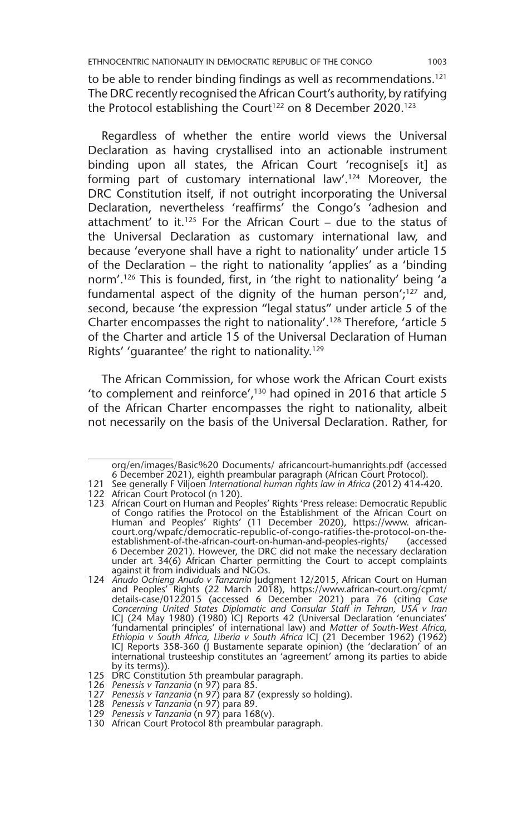to be able to render binding findings as well as recommendations.<sup>121</sup> The DRC recently recognised the African Court's authority,by ratifying the Protocol establishing the Court<sup>122</sup> on 8 December 2020.<sup>123</sup>

Regardless of whether the entire world views the Universal Declaration as having crystallised into an actionable instrument binding upon all states, the African Court 'recognise[s it] as forming part of customary international law'.<sup>124</sup> Moreover, the DRC Constitution itself, if not outright incorporating the Universal Declaration, nevertheless 'reaffirms' the Congo's 'adhesion and attachment' to it.<sup>125</sup> For the African Court – due to the status of the Universal Declaration as customary international law, and because 'everyone shall have a right to nationality' under article 15 of the Declaration – the right to nationality 'applies' as a 'binding norm'.126 This is founded, first, in 'the right to nationality' being 'a fundamental aspect of the dignity of the human person'; $127$  and, second, because 'the expression "legal status" under article 5 of the Charter encompasses the right to nationality'.128 Therefore, 'article 5 of the Charter and article 15 of the Universal Declaration of Human Rights' 'guarantee' the right to nationality.<sup>129</sup>

The African Commission, for whose work the African Court exists 'to complement and reinforce',130 had opined in 2016 that article 5 of the African Charter encompasses the right to nationality, albeit not necessarily on the basis of the Universal Declaration. Rather, for

org/en/images/Basic%20 Documents/ africancourt-humanrights.pdf (accessed 6 December 2021), eighth preambular paragraph (African Court Protocol).

<sup>121</sup> See generally F Viljoen *International human rights law in Africa* (2012) 414-420.

<sup>122</sup> African Court Protocol (n 120).

<sup>123</sup> African Court on Human and Peoples' Rights 'Press release: Democratic Republic of Congo ratifies the Protocol on the Establishment of the African Court on Human and Peoples' Rights' (11 December 2020), https://www. africancourt.org/wpafc/democratic-republic-of-congo-ratifies-the-protocol-on-theestablishment-of-the-african-court-on-human-and-peoples-rights/ (accessed 6 December 2021). However, the DRC did not make the necessary declaration under art 34(6) African Charter permitting the Court to accept complaints against it from individuals and NGOs.

<sup>124</sup> *Anudo Ochieng Anudo v Tanzania* Judgment 12/2015, African Court on Human and Peoples' Rights (22 March 2018), https://www.african-court.org/cpmt/ details-case/0122015 (accessed 6 December 2021) para 76 (citing *Case Concerning United States Diplomatic and Consular Staff in Tehran, USA v Iran* ICJ (24 May 1980) (1980) ICJ Reports 42 (Universal Declaration 'enunciates' 'fundamental principles' of international law) and *Matter of South-West Africa, Ethiopia v South Africa, Liberia v South Africa* ICJ (21 December 1962) (1962) ICJ Reports 358-360 (J Bustamente separate opinion) (the 'declaration' of an international trusteeship constitutes an 'agreement' among its parties to abide by its terms)).

<sup>125</sup> DRC Constitution 5th preambular paragraph. 126 *Penessis v Tanzania* (n 97) para 85. 127 *Penessis v Tanzania* (n 97) para 87 (expressly so holding).

<sup>128</sup> *Penessis v Tanzania* (n 97) para 89.

<sup>129</sup> *Penessis v Tanzania* (n 97) para 168(v).

<sup>130</sup> African Court Protocol 8th preambular paragraph.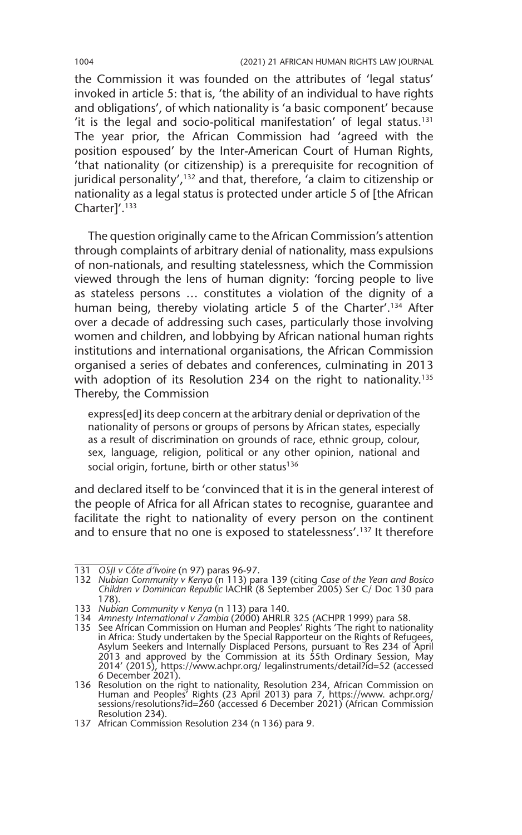the Commission it was founded on the attributes of 'legal status' invoked in article 5: that is, 'the ability of an individual to have rights and obligations', of which nationality is 'a basic component' because 'it is the legal and socio-political manifestation' of legal status.<sup>131</sup> The year prior, the African Commission had 'agreed with the position espoused' by the Inter-American Court of Human Rights, 'that nationality (or citizenship) is a prerequisite for recognition of juridical personality',<sup>132</sup> and that, therefore, 'a claim to citizenship or nationality as a legal status is protected under article 5 of [the African Charter]'.133

The question originally came to the African Commission's attention through complaints of arbitrary denial of nationality, mass expulsions of non-nationals, and resulting statelessness, which the Commission viewed through the lens of human dignity: 'forcing people to live as stateless persons … constitutes a violation of the dignity of a human being, thereby violating article 5 of the Charter'.<sup>134</sup> After over a decade of addressing such cases, particularly those involving women and children, and lobbying by African national human rights institutions and international organisations, the African Commission organised a series of debates and conferences, culminating in 2013 with adoption of its Resolution 234 on the right to nationality.<sup>135</sup> Thereby, the Commission

express[ed] its deep concern at the arbitrary denial or deprivation of the nationality of persons or groups of persons by African states, especially as a result of discrimination on grounds of race, ethnic group, colour, sex, language, religion, political or any other opinion, national and social origin, fortune, birth or other status<sup>136</sup>

and declared itself to be 'convinced that it is in the general interest of the people of Africa for all African states to recognise, guarantee and facilitate the right to nationality of every person on the continent and to ensure that no one is exposed to statelessness'.<sup>137</sup> It therefore

<sup>131</sup> *OSJI v Côte d'Ivoire* (n 97) paras 96-97.

<sup>132</sup> *Nubian Community v Kenya* (n 113) para 139 (citing *Case of the Yean and Bosico Children v Dominican Republic* IACHR (8 September 2005) Ser C/ Doc 130 para 178).

<sup>133</sup> *Nubian Community v Kenya* (n 113) para 140.

<sup>134</sup> *Amnesty International v Zambia* (2000) AHRLR 325 (ACHPR 1999) para 58.

<sup>135</sup> See African Commission on Human and Peoples' Rights 'The right to nationality in Africa: Study undertaken by the Special Rapporteur on the Rights of Refugees, Asylum Seekers and Internally Displaced Persons, pursuant to Res 234 of April 2013 and approved by the Commission at its 55th Ordinary Session, May 2014' (2015), https://www.achpr.org/ legalinstruments/detail?id=52 (accessed 6 December 2021).

<sup>136</sup> Resolution on the right to nationality, Resolution 234, African Commission on Human and Peoples' Rights (23 April 2013) para 7, https://www. achpr.org/ sessions/resolutions?id=260 (accessed 6 December 2021) (African Commission Resolution 234).

<sup>137</sup> African Commission Resolution 234 (n 136) para 9.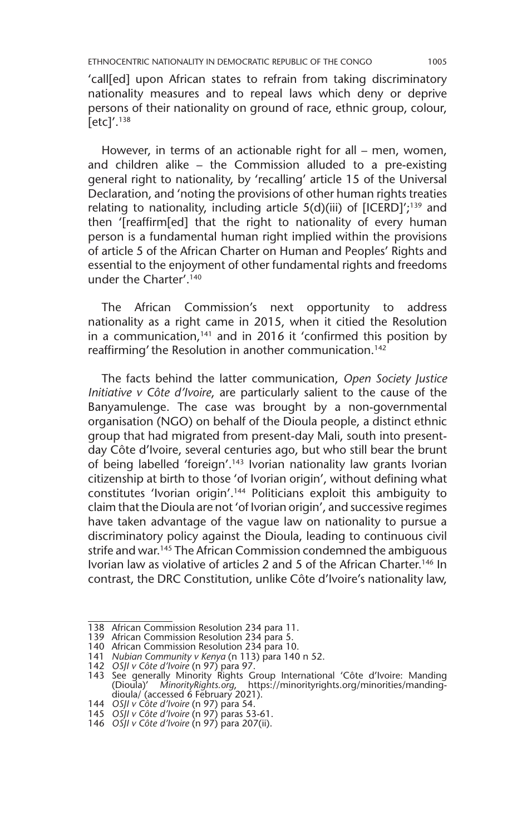'call[ed] upon African states to refrain from taking discriminatory nationality measures and to repeal laws which deny or deprive persons of their nationality on ground of race, ethnic group, colour,  $[etc]'.<sup>138</sup>$ 

However, in terms of an actionable right for all – men, women, and children alike – the Commission alluded to a pre-existing general right to nationality, by 'recalling' article 15 of the Universal Declaration, and 'noting the provisions of other human rights treaties relating to nationality, including article  $5(d)(iii)$  of  $[ICERD]'^{139}$  and then '[reaffirm[ed] that the right to nationality of every human person is a fundamental human right implied within the provisions of article 5 of the African Charter on Human and Peoples' Rights and essential to the enjoyment of other fundamental rights and freedoms under the Charter'.140

The African Commission's next opportunity to address nationality as a right came in 2015, when it citied the Resolution in a communication, $141$  and in 2016 it 'confirmed this position by reaffirming' the Resolution in another communication.<sup>142</sup>

The facts behind the latter communication, *Open Society Justice Initiative v Côte d'Ivoire*, are particularly salient to the cause of the Banyamulenge. The case was brought by a non-governmental organisation (NGO) on behalf of the Dioula people, a distinct ethnic group that had migrated from present-day Mali, south into presentday Côte d'Ivoire, several centuries ago, but who still bear the brunt of being labelled 'foreign'.143 Ivorian nationality law grants Ivorian citizenship at birth to those 'of Ivorian origin', without defining what constitutes 'Ivorian origin'.144 Politicians exploit this ambiguity to claim that the Dioula are not 'of Ivorian origin', and successive regimes have taken advantage of the vague law on nationality to pursue a discriminatory policy against the Dioula, leading to continuous civil strife and war.<sup>145</sup> The African Commission condemned the ambiguous Ivorian law as violative of articles 2 and 5 of the African Charter.146 In contrast, the DRC Constitution, unlike Côte d'Ivoire's nationality law,

<sup>138</sup> African Commission Resolution 234 para 11.

<sup>139</sup> African Commission Resolution 234 para 5.

<sup>140</sup> African Commission Resolution 234 para 10.

<sup>141</sup> *Nubian Community v Kenya* (n 113) para 140 n 52.

<sup>142</sup> *OSJI v Côte d'Ivoire* (n 97) para 97.

<sup>143</sup> See generally Minority Rights Group International 'Côte d'Ivoire: Manding (Dioula)' *MinorityRights.org*, https://minorityrights.org/minorities/manding-dioula/ (accessed 6 February 2021).

<sup>144</sup> *OSJI v Côte d'Ivoire* (n 97) para 54.

<sup>145</sup> *OSJI v Côte d'Ivoire* (n 97) paras 53-61.

<sup>146</sup> *OSJI v Côte d'Ivoire* (n 97) para 207(ii).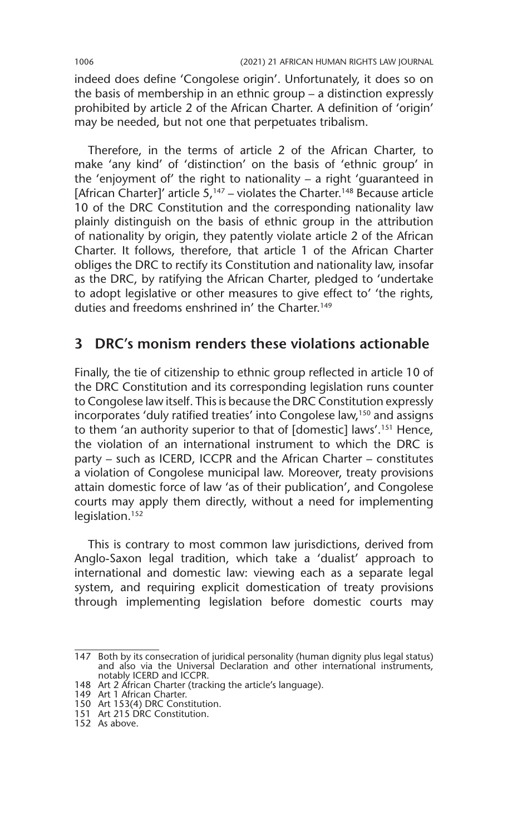indeed does define 'Congolese origin'. Unfortunately, it does so on the basis of membership in an ethnic group – a distinction expressly prohibited by article 2 of the African Charter. A definition of 'origin' may be needed, but not one that perpetuates tribalism.

Therefore, in the terms of article 2 of the African Charter, to make 'any kind' of 'distinction' on the basis of 'ethnic group' in the 'enjoyment of' the right to nationality – a right 'guaranteed in [African Charter]' article  $5^{147}$  – violates the Charter.<sup>148</sup> Because article 10 of the DRC Constitution and the corresponding nationality law plainly distinguish on the basis of ethnic group in the attribution of nationality by origin, they patently violate article 2 of the African Charter. It follows, therefore, that article 1 of the African Charter obliges the DRC to rectify its Constitution and nationality law, insofar as the DRC, by ratifying the African Charter, pledged to 'undertake to adopt legislative or other measures to give effect to' 'the rights, duties and freedoms enshrined in' the Charter.<sup>149</sup>

### **3 DRC's monism renders these violations actionable**

Finally, the tie of citizenship to ethnic group reflected in article 10 of the DRC Constitution and its corresponding legislation runs counter to Congolese law itself. This is because the DRC Constitution expressly incorporates 'duly ratified treaties' into Congolese law,150 and assigns to them 'an authority superior to that of [domestic] laws'.151 Hence, the violation of an international instrument to which the DRC is party – such as ICERD, ICCPR and the African Charter – constitutes a violation of Congolese municipal law. Moreover, treaty provisions attain domestic force of law 'as of their publication', and Congolese courts may apply them directly, without a need for implementing legislation.<sup>152</sup>

This is contrary to most common law jurisdictions, derived from Anglo-Saxon legal tradition, which take a 'dualist' approach to international and domestic law: viewing each as a separate legal system, and requiring explicit domestication of treaty provisions through implementing legislation before domestic courts may

<sup>147</sup> Both by its consecration of juridical personality (human dignity plus legal status) and also via the Universal Declaration and other international instruments, notably ICERD and ICCPR.

<sup>148</sup> Art 2 African Charter (tracking the article's language). 149 Art 1 African Charter.

<sup>150</sup> Art 153(4) DRC Constitution.

<sup>151</sup> Art 215 DRC Constitution.

<sup>152</sup> As above.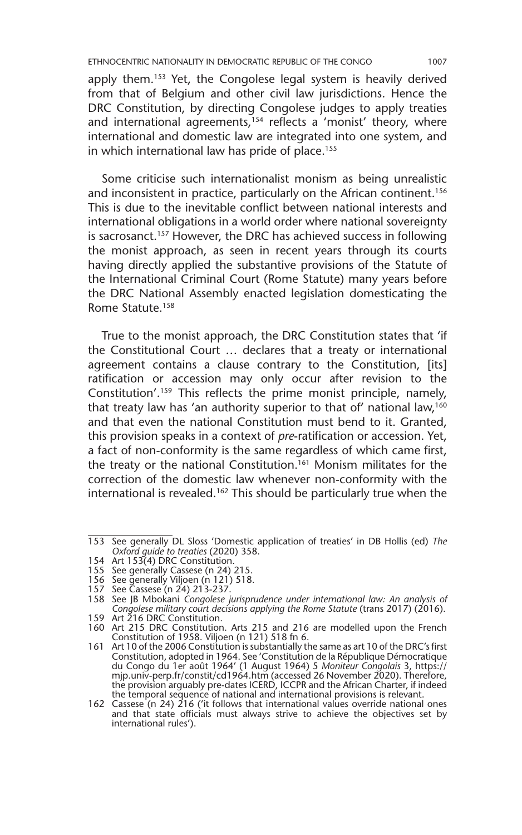apply them.153 Yet, the Congolese legal system is heavily derived from that of Belgium and other civil law jurisdictions. Hence the DRC Constitution, by directing Congolese judges to apply treaties and international agreements,<sup>154</sup> reflects a 'monist' theory, where international and domestic law are integrated into one system, and in which international law has pride of place.<sup>155</sup>

Some criticise such internationalist monism as being unrealistic and inconsistent in practice, particularly on the African continent.<sup>156</sup> This is due to the inevitable conflict between national interests and international obligations in a world order where national sovereignty is sacrosanct.<sup>157</sup> However, the DRC has achieved success in following the monist approach, as seen in recent years through its courts having directly applied the substantive provisions of the Statute of the International Criminal Court (Rome Statute) many years before the DRC National Assembly enacted legislation domesticating the Rome Statute.158

True to the monist approach, the DRC Constitution states that 'if the Constitutional Court … declares that a treaty or international agreement contains a clause contrary to the Constitution, [its] ratification or accession may only occur after revision to the Constitution'.159 This reflects the prime monist principle, namely, that treaty law has 'an authority superior to that of' national law,<sup>160</sup> and that even the national Constitution must bend to it. Granted, this provision speaks in a context of *pre*-ratification or accession. Yet, a fact of non-conformity is the same regardless of which came first, the treaty or the national Constitution.<sup>161</sup> Monism militates for the correction of the domestic law whenever non-conformity with the international is revealed.162 This should be particularly true when the

<sup>153</sup> See generally DL Sloss 'Domestic application of treaties' in DB Hollis (ed) *The Oxford guide to treaties* (2020) 358.

<sup>154</sup> Art 153(4) DRC Constitution.

<sup>155</sup> See generally Cassese (n 24) 215.

<sup>156</sup> See generally Viljoen (n 121) 518.

<sup>157</sup> See Cassese (n 24) 213-237.

<sup>158</sup> See JB Mbokani *Congolese jurisprudence under international law: An analysis of Congolese military court decisions applying the Rome Statute* (trans 2017) (2016). 159 Art 216 DRC Constitution.

<sup>160</sup> Art 215 DRC Constitution. Arts 215 and 216 are modelled upon the French Constitution of 1958. Viljoen (n 121) 518 fn 6.

<sup>161</sup> Art 10 of the 2006 Constitution is substantially the same as art 10 of the DRC's first Constitution, adopted in 1964. See 'Constitution de la République Démocratique du Congo du 1er août 1964' (1 August 1964) 5 *Moniteur Congolais* 3, https:// mjp.univ-perp.fr/constit/cd1964.htm (accessed 26 November 2020). Therefore,<br>the provision arguably pre-dates ICERD, ICCPR and the African Charter, if indeed<br>the temporal sequence of national and international provisions is

<sup>162</sup> Cassese (n 24) 216 ('it follows that international values override national ones and that state officials must always strive to achieve the objectives set by international rules').